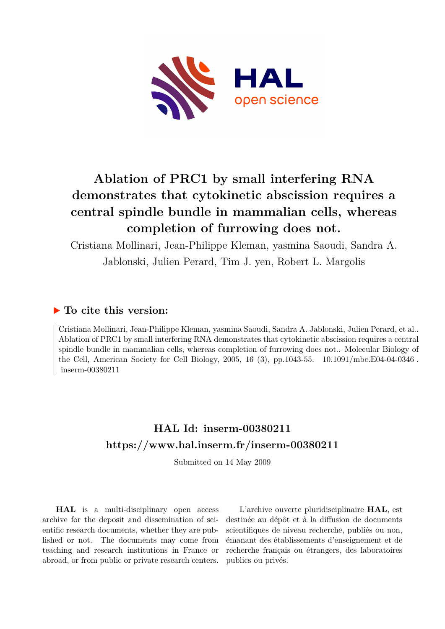

# **Ablation of PRC1 by small interfering RNA demonstrates that cytokinetic abscission requires a central spindle bundle in mammalian cells, whereas completion of furrowing does not.**

Cristiana Mollinari, Jean-Philippe Kleman, yasmina Saoudi, Sandra A. Jablonski, Julien Perard, Tim J. yen, Robert L. Margolis

## **To cite this version:**

Cristiana Mollinari, Jean-Philippe Kleman, yasmina Saoudi, Sandra A. Jablonski, Julien Perard, et al.. Ablation of PRC1 by small interfering RNA demonstrates that cytokinetic abscission requires a central spindle bundle in mammalian cells, whereas completion of furrowing does not.. Molecular Biology of the Cell, American Society for Cell Biology, 2005, 16 (3), pp.1043-55.  $10.1091/mbc.E04-04-0346$ .  $inserm-00380211$ 

## **HAL Id: inserm-00380211 <https://www.hal.inserm.fr/inserm-00380211>**

Submitted on 14 May 2009

**HAL** is a multi-disciplinary open access archive for the deposit and dissemination of scientific research documents, whether they are published or not. The documents may come from teaching and research institutions in France or abroad, or from public or private research centers.

L'archive ouverte pluridisciplinaire **HAL**, est destinée au dépôt et à la diffusion de documents scientifiques de niveau recherche, publiés ou non, émanant des établissements d'enseignement et de recherche français ou étrangers, des laboratoires publics ou privés.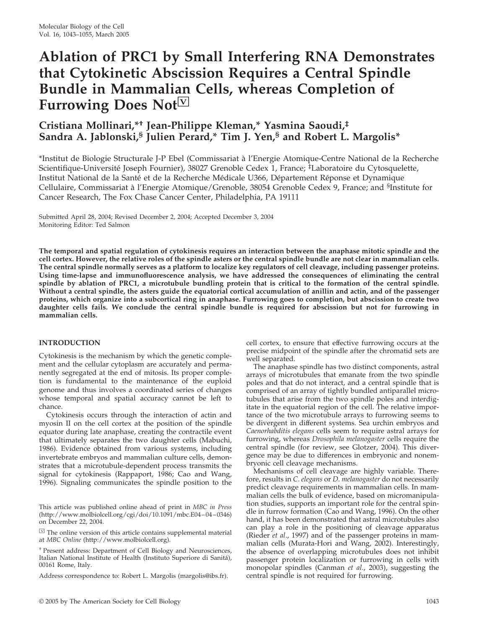# **Ablation of PRC1 by Small Interfering RNA Demonstrates that Cytokinetic Abscission Requires a Central Spindle Bundle in Mammalian Cells, whereas Completion of** Furrowing Does Not<sup>[V]</sup>

### **Cristiana Mollinari,\*† Jean-Philippe Kleman,\* Yasmina Saoudi,‡ Sandra A. Jablonski,§ Julien Perard,\* Tim J. Yen,§ and Robert L. Margolis\***

\*Institut de Biologie Structurale J-P Ebel (Commissariat a` l'Energie Atomique-Centre National de la Recherche Scientifique-Université Joseph Fournier), 38027 Grenoble Cedex 1, France; <sup>‡</sup>Laboratoire du Cytosquelette, Institut National de la Santé et de la Recherche Médicale U366, Département Réponse et Dynamique Cellulaire, Commissariat à l'Energie Atomique/Grenoble, 38054 Grenoble Cedex 9, France; and <sup>§</sup>Institute for Cancer Research, The Fox Chase Cancer Center, Philadelphia, PA 19111

Submitted April 28, 2004; Revised December 2, 2004; Accepted December 3, 2004 Monitoring Editor: Ted Salmon

**The temporal and spatial regulation of cytokinesis requires an interaction between the anaphase mitotic spindle and the cell cortex. However, the relative roles of the spindle asters or the central spindle bundle are not clear in mammalian cells. The central spindle normally serves as a platform to localize key regulators of cell cleavage, including passenger proteins. Using time-lapse and immunofluorescence analysis, we have addressed the consequences of eliminating the central spindle by ablation of PRC1, a microtubule bundling protein that is critical to the formation of the central spindle. Without a central spindle, the asters guide the equatorial cortical accumulation of anillin and actin, and of the passenger proteins, which organize into a subcortical ring in anaphase. Furrowing goes to completion, but abscission to create two daughter cells fails. We conclude the central spindle bundle is required for abscission but not for furrowing in mammalian cells.**

#### **INTRODUCTION**

Cytokinesis is the mechanism by which the genetic complement and the cellular cytoplasm are accurately and permanently segregated at the end of mitosis. Its proper completion is fundamental to the maintenance of the euploid genome and thus involves a coordinated series of changes whose temporal and spatial accuracy cannot be left to chance.

Cytokinesis occurs through the interaction of actin and myosin II on the cell cortex at the position of the spindle equator during late anaphase, creating the contractile event that ultimately separates the two daughter cells (Mabuchi, 1986). Evidence obtained from various systems, including invertebrate embryos and mammalian culture cells, demonstrates that a microtubule-dependent process transmits the signal for cytokinesis (Rappaport, 1986; Cao and Wang, 1996). Signaling communicates the spindle position to the

This article was published online ahead of print in *MBC in Press* (http://www.molbiolcell.org/cgi/doi/10.1091/mbc.E04–04–0346) on December 22, 2004.

 $\Im$  The online version of this article contains supplemental material at *MBC Online* (http://www.molbiolcell.org).

† Present address: Department of Cell Biology and Neurosciences, Italian National Institute of Health (Instituto Superiore di Sanita´), 00161 Rome, Italy.

Address correspondence to: Robert L. Margolis (margolis@ibs.fr).

cell cortex, to ensure that effective furrowing occurs at the precise midpoint of the spindle after the chromatid sets are well separated.

The anaphase spindle has two distinct components, astral arrays of microtubules that emanate from the two spindle poles and that do not interact, and a central spindle that is comprised of an array of tightly bundled antiparallel microtubules that arise from the two spindle poles and interdigitate in the equatorial region of the cell. The relative importance of the two microtubule arrays to furrowing seems to be divergent in different systems. Sea urchin embryos and *Caenorhabditis elegans* cells seem to require astral arrays for furrowing, whereas *Drosophila melanogaster* cells require the central spindle (for review, see Glotzer, 2004). This divergence may be due to differences in embryonic and nonembryonic cell cleavage mechanisms.

Mechanisms of cell cleavage are highly variable. Therefore, results in *C*. *elegans* or *D*. *melanogaster* do not necessarily predict cleavage requirements in mammalian cells. In mammalian cells the bulk of evidence, based on micromanipulation studies, supports an important role for the central spindle in furrow formation (Cao and Wang, 1996). On the other hand, it has been demonstrated that astral microtubules also can play a role in the positioning of cleavage apparatus (Rieder *et al*., 1997) and of the passenger proteins in mammalian cells (Murata-Hori and Wang, 2002). Interestingly, the absence of overlapping microtubules does not inhibit passenger protein localization or furrowing in cells with monopolar spindles (Canman *et al*., 2003), suggesting the central spindle is not required for furrowing.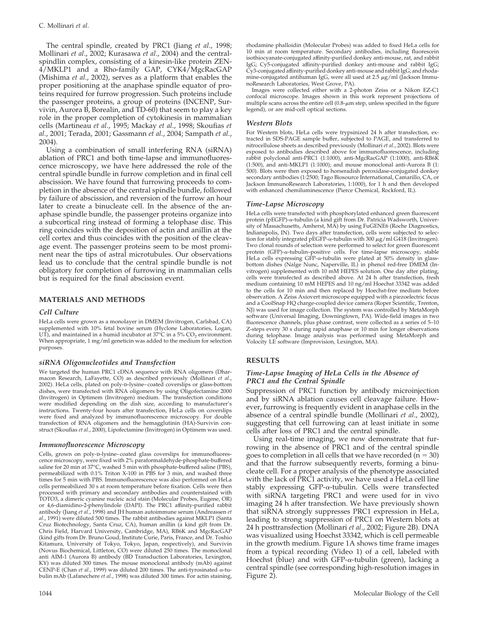The central spindle, created by PRC1 (Jiang *et al*., 1998; Mollinari *et al*., 2002; Kurasawa *et al*., 2004) and the centralspindlin complex, consisting of a kinesin-like protein ZEN-4/MKLP1 and a Rho-family GAP, CYK4/MgcRacGAP (Mishima *et al*., 2002), serves as a platform that enables the proper positioning at the anaphase spindle equator of proteins required for furrow progression. Such proteins include the passenger proteins, a group of proteins (INCENP, Survivin, Aurora B, Borealin, and TD-60) that seem to play a key role in the proper completion of cytokinesis in mammalian cells (Martineau *et al*., 1995; Mackay *et al*., 1998; Skoufias *et al*., 2001; Terada, 2001; Gassmann *et al*., 2004; Sampath *et al*., 2004).

Using a combination of small interfering RNA (siRNA) ablation of PRC1 and both time-lapse and immunofluorescence microscopy, we have here addressed the role of the central spindle bundle in furrow completion and in final cell abscission. We have found that furrowing proceeds to completion in the absence of the central spindle bundle, followed by failure of abscission, and reversion of the furrow an hour later to create a binucleate cell. In the absence of the anaphase spindle bundle, the passenger proteins organize into a subcortical ring instead of forming a telophase disc. This ring coincides with the deposition of actin and anillin at the cell cortex and thus coincides with the position of the cleavage event. The passenger proteins seem to be most prominent near the tips of astral microtubules. Our observations lead us to conclude that the central spindle bundle is not obligatory for completion of furrowing in mammalian cells but is required for the final abscission event.

#### **MATERIALS AND METHODS**

#### *Cell Culture*

HeLa cells were grown as a monolayer in DMEM (Invitrogen, Carlsbad, CA) supplemented with 10% fetal bovine serum (Hyclone Laboratories, Logan, UT), and maintained in a humid incubator at  $37^{\circ}$ C in a  $5\%$  CO<sub>2</sub> environment. When appropriate, 1 mg/ml geneticin was added to the medium for selection purposes.

#### *siRNA Oligonucleotides and Transfection*

We targeted the human PRC1 cDNA sequence with RNA oligomers (Dharmacon Research, LaFayette, CO) as described previously (Mollinari *et al*., 2002). HeLa cells, plated on poly-p-lysine–coated coverslips or glass-bottom dishes, were transfected with RNA oligomers by using Oligofectamine 2000 (Invitrogen) in Optimem (Invitrogen) medium. The transfection conditions were modified depending on the dish size, according to manufacturer's instructions. Twenty-four hours after transfection, HeLa cells on coverslips were fixed and analyzed by immunofluorescence microscopy. For double transfection of RNA oligomers and the hemagglutinin (HA)-Survivin construct (Skoufias *et al*., 2000), Lipofectamine (Invitrogen) in Optimem was used.

#### *Immunofluorescence Microscopy*

Cells, grown on poly-p-lysine–coated glass coverslips for immunofluorescence microscopy, were fixed with 2% paraformaldehyde-phosphate-buffered saline for 20 min at 37°C, washed 5 min with phosphate-buffered saline (PBS), permeabilized with 0.1% Triton X-100 in PBS for 3 min, and washed three times for 5 min with PBS. Immunofluorescence was also performed on HeLa cells permeabilized 30 s at room temperature before fixation. Cells were then processed with primary and secondary antibodies and counterstained with TOTO3, a dimeric cyanine nucleic acid stain (Molecular Probes, Eugene, OR) or 4,6-diamidino-2-phenylindole (DAPI). The PRC1 affinity-purified rabbit antibody (Jiang *et al*., 1998) and JH human autoimmune serum (Andreassen *et al*., 1991) were diluted 500 times. The rabbit antibodies against MKLP1 (Santa Cruz Biotechnology, Santa Cruz, CA), human anillin (a kind gift from Dr. Chris Field, Harvard University, Cambridge, MA), RB6K and MgcRacGAP (kind gifts from Dr. Bruno Goud, Institute Curie, Paris, France, and Dr. Toshio Kitamura, University of Tokyo, Tokyo, Japan, respectively), and Survivin (Novus Biochemical, Littleton, CO) were diluted 250 times. The monoclonal anti AIM-1 (Aurora B) antibody (BD Transduction Laboratories, Lexington, KY) was diluted 300 times. The mouse monoclonal antibody (mAb) against CENP-E (Chan *et al.*, 1999) was diluted 200 times. The anti-tyrosinated  $\alpha$ -tubulin mAb (Lafanechere *et al*., 1998) was diluted 300 times. For actin staining,

secondary antibodies (1:2500; Tago Biosource International, Camarillo, CA, or Jackson ImmunoResearch Laboratories, 1:1000), for 1 h and then developed with enhanced chemiluminescence (Pierce Chemical, Rockford, IL).

#### *Time-Lapse Microscopy*

noResearch Laboratories, West Grove, PA).

legend), or are mid-cell optical sections.

*Western Blots*

HeLa cells were transfected with phosphorylated enhanced green fluorescent protein (pEGFP)-α-tubulin (a kind gift from Dr. Patricia Wadsworth, University of Massachusetts, Amherst, MA) by using FuGENE6 (Roche Diagnostics, Indianapolis, IN). Two days after transfection, cells were subjected to selection for stably integrated pEGFP- $\alpha$ -tubulin with 300  $\mu$ g/ml G418 (Invitrogen). Two clonal rounds of selection were performed to select for green fluorescent protein (GFP)- $\alpha$ -tubulin–positive cells. For time-lapse microscopy, stable HeLa cells expressing GFP-a-tubulin were plated at 50% density in glassbottom dishes (Nalge Nunc, Naperville, IL) in phenol red-free DMEM (Invitrogen) supplemented with 10 mM HEPES solution. One day after plating, cells were transfected as described above. At 24 h after transfection, fresh medium containing 10 mM HEPES and 10 ng/ml Hoechst 33342 was added to the cells for 10 min and then replaced by Hoechst-free medium before observation. A Zeiss Axiovert microscope equipped with a piezoelectric focus and a CoolSnap HQ charge-coupled device camera (Roper Scientific, Trenton, NJ) was used for image collection. The system was controlled by MetaMorph software (Universal Imaging, Downingtown, PA). Wide-field images in two fluorescence channels, plus phase contrast, were collected as a series of 5–10 Z-steps every 30 s during rapid anaphase or 10 min for longer observations during telophase. Image analysis was performed using MetaMorph and Volocity LE software (Improvision, Lexington, MA).

rhodamine phalloidin (Molecular Probes) was added to fixed HeLa cells for 10 min at room temperature. Secondary antibodies, including fluorescein isothiocyanate-conjugated affinity-purified donkey anti-mouse, rat, and rabbit IgG; Cy5-conjugated affinity-purified donkey anti-mouse and rabbit IgG; Cy3-conjugated affinity-purified donkey anti-mouse and rabbit IgG; and rhodamine-conjugated antihuman IgG, were all used at 2.5  $\mu$ g/ml (Jackson Immu-

Images were collected either with a 2-photon Zeiss or a Nikon EZ-C1 confocal microscope. Images shown in this work represent projections of multiple scans across the entire cell (0.8- $\mu$ m step, unless specified in the figure

For Western blots, HeLa cells were trypsinized 24 h after transfection, extracted in SDS-PAGE sample buffer, subjected to PAGE, and transferred to nitrocellulose sheets as described previously (Mollinari *et al*., 2002). Blots were exposed to antibodies described above for immunofluorescence, including rabbit polyclonal anti-PRC1 (1:1000), anti-MgcRacGAP (1:1000), anti-RB6K (1:500), and anti-MKLP1 (1:1000); and mouse monoclonal anti-Aurora B (1: 500). Blots were then exposed to horseradish peroxidase-conjugated donkey

#### **RESULTS**

#### *Time-Lapse Imaging of HeLa Cells in the Absence of PRC1 and the Central Spindle*

Suppression of PRC1 function by antibody microinjection and by siRNA ablation causes cell cleavage failure. However, furrowing is frequently evident in anaphase cells in the absence of a central spindle bundle (Mollinari *et al*., 2002), suggesting that cell furrowing can at least initiate in some cells after loss of PRC1 and the central spindle.

Using real-time imaging, we now demonstrate that furrowing in the absence of PRC1 and of the central spindle goes to completion in all cells that we have recorded ( $n = 30$ ) and that the furrow subsequently reverts, forming a binucleate cell. For a proper analysis of the phenotype associated with the lack of PRC1 activity, we have used a HeLa cell line stably expressing GFP- $\alpha$ -tubulin. Cells were transfected with siRNA targeting PRC1 and were used for in vivo imaging 24 h after transfection. We have previously shown that siRNA strongly suppresses PRC1 expression in HeLa, leading to strong suppression of PRC1 on Western blots at 24 h posttransfection (Mollinari *et al*., 2002; Figure 2B). DNA was visualized using Hoechst 33342, which is cell permeable in the growth medium. Figure 1A shows time frame images from a typical recording (Video 1) of a cell, labeled with Hoechst (blue) and with GFP- $\alpha$ -tubulin (green), lacking a central spindle (see corresponding high-resolution images in Figure 2).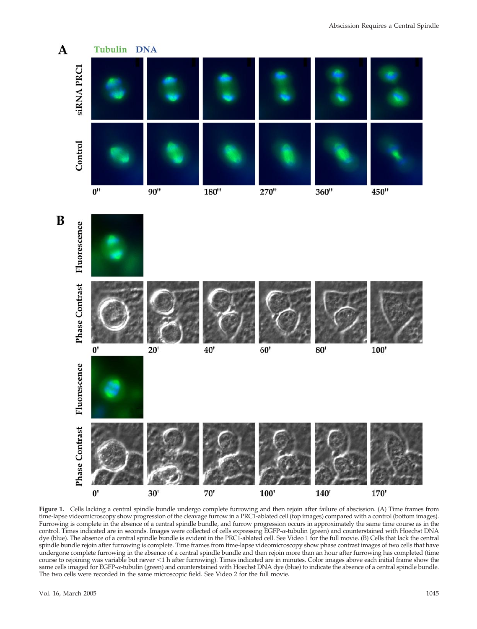

**Figure 1.** Cells lacking a central spindle bundle undergo complete furrowing and then rejoin after failure of abscission. (A) Time frames from time-lapse videomicroscopy show progression of the cleavage furrow in a PRC1-ablated cell (top images) compared with a control (bottom images). Furrowing is complete in the absence of a central spindle bundle, and furrow progression occurs in approximately the same time course as in the control. Times indicated are in seconds. Images were collected of cells expressing EGFP- $\alpha$ -tubulin (green) and counterstained with Hoechst DNA dye (blue). The absence of a central spindle bundle is evident in the PRC1-ablated cell. See Video 1 for the full movie. (B) Cells that lack the central spindle bundle rejoin after furrowing is complete. Time frames from time-lapse videomicroscopy show phase contrast images of two cells that have undergone complete furrowing in the absence of a central spindle bundle and then rejoin more than an hour after furrowing has completed (time course to rejoining was variable but never -1 h after furrowing). Times indicated are in minutes. Color images above each initial frame show the same cells imaged for EGFP-a-tubulin (green) and counterstained with Hoechst DNA dye (blue) to indicate the absence of a central spindle bundle. The two cells were recorded in the same microscopic field. See Video 2 for the full movie.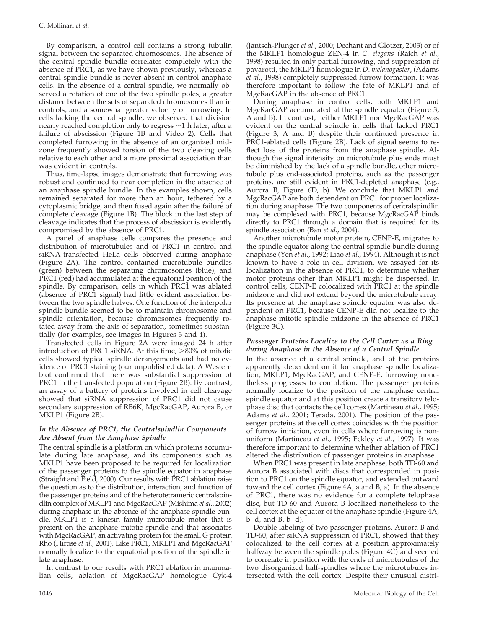By comparison, a control cell contains a strong tubulin signal between the separated chromosomes. The absence of the central spindle bundle correlates completely with the absence of PRC1, as we have shown previously, whereas a central spindle bundle is never absent in control anaphase cells. In the absence of a central spindle, we normally observed a rotation of one of the two spindle poles, a greater distance between the sets of separated chromosomes than in controls, and a somewhat greater velocity of furrowing. In cells lacking the central spindle, we observed that division nearly reached completion only to regress  $\sim$  1 h later, after a failure of abscission (Figure 1B and Video 2). Cells that completed furrowing in the absence of an organized midzone frequently showed torsion of the two cleaving cells relative to each other and a more proximal association than was evident in controls.

Thus, time-lapse images demonstrate that furrowing was robust and continued to near completion in the absence of an anaphase spindle bundle. In the examples shown, cells remained separated for more than an hour, tethered by a cytoplasmic bridge, and then fused again after the failure of complete cleavage (Figure 1B). The block in the last step of cleavage indicates that the process of abscission is evidently compromised by the absence of PRC1.

A panel of anaphase cells compares the presence and distribution of microtubules and of PRC1 in control and siRNA-transfected HeLa cells observed during anaphase (Figure 2A). The control contained microtubule bundles (green) between the separating chromosomes (blue), and PRC1 (red) had accumulated at the equatorial position of the spindle. By comparison, cells in which PRC1 was ablated (absence of PRC1 signal) had little evident association between the two spindle halves. One function of the interpolar spindle bundle seemed to be to maintain chromosome and spindle orientation, because chromosomes frequently rotated away from the axis of separation, sometimes substantially (for examples, see images in Figures 3 and 4).

Transfected cells in Figure 2A were imaged 24 h after introduction of PRC1 siRNA. At this time,  $>80\%$  of mitotic cells showed typical spindle derangements and had no evidence of PRC1 staining (our unpublished data). A Western blot confirmed that there was substantial suppression of PRC1 in the transfected population (Figure 2B). By contrast, an assay of a battery of proteins involved in cell cleavage showed that siRNA suppression of PRC1 did not cause secondary suppression of RB6K, MgcRacGAP, Aurora B, or MKLP1 (Figure 2B).

#### *In the Absence of PRC1, the Centralspindlin Components Are Absent from the Anaphase Spindle*

The central spindle is a platform on which proteins accumulate during late anaphase, and its components such as MKLP1 have been proposed to be required for localization of the passenger proteins to the spindle equator in anaphase (Straight and Field, 2000). Our results with PRC1 ablation raise the question as to the distribution, interaction, and function of the passenger proteins and of the heterotetrameric centralspindlin complex of MKLP1 and MgcRacGAP (Mishima *et al*., 2002) during anaphase in the absence of the anaphase spindle bundle. MKLP1 is a kinesin family microtubule motor that is present on the anaphase mitotic spindle and that associates with MgcRacGAP, an activating protein for the small G protein Rho (Hirose *et al*., 2001). Like PRC1, MKLP1 and MgcRacGAP normally localize to the equatorial position of the spindle in late anaphase.

In contrast to our results with PRC1 ablation in mammalian cells, ablation of MgcRacGAP homologue Cyk-4 (Jantsch-Plunger *et al*., 2000; Dechant and Glotzer, 2003) or of the MKLP1 homologue ZEN-4 in *C*. *elegans* (Raich *et al*., 1998) resulted in only partial furrowing, and suppression of pavarotti, the MKLP1 homologue in *D*. *melanogaster*, (Adams *et al*., 1998) completely suppressed furrow formation. It was therefore important to follow the fate of MKLP1 and of MgcRacGAP in the absence of PRC1.

During anaphase in control cells, both MKLP1 and MgcRacGAP accumulated at the spindle equator (Figure 3, A and B). In contrast, neither MKLP1 nor MgcRacGAP was evident on the central spindle in cells that lacked PRC1 (Figure 3, A and B) despite their continued presence in PRC1-ablated cells (Figure 2B). Lack of signal seems to reflect loss of the proteins from the anaphase spindle. Although the signal intensity on microtubule plus ends must be diminished by the lack of a spindle bundle, other microtubule plus end-associated proteins, such as the passenger proteins, are still evident in PRC1-depleted anaphase (e.g., Aurora B, Figure 6D, b). We conclude that MKLP1 and MgcRacGAP are both dependent on PRC1 for proper localization during anaphase. The two components of centralspindlin may be complexed with PRC1, because MgcRacGAP binds directly to PRC1 through a domain that is required for its spindle association (Ban *et al*., 2004).

Another microtubule motor protein, CENP-E, migrates to the spindle equator along the central spindle bundle during anaphase (Yen *et al*., 1992; Liao *et al*., 1994). Although it is not known to have a role in cell division, we assayed for its localization in the absence of PRC1, to determine whether motor proteins other than MKLP1 might be dispersed. In control cells, CENP-E colocalized with PRC1 at the spindle midzone and did not extend beyond the microtubule array. Its presence at the anaphase spindle equator was also dependent on PRC1, because CENP-E did not localize to the anaphase mitotic spindle midzone in the absence of PRC1 (Figure 3C).

#### *Passenger Proteins Localize to the Cell Cortex as a Ring during Anaphase in the Absence of a Central Spindle*

In the absence of a central spindle, and of the proteins apparently dependent on it for anaphase spindle localization, MKLP1, MgcRacGAP, and CENP-E, furrowing nonetheless progresses to completion. The passenger proteins normally localize to the position of the anaphase central spindle equator and at this position create a transitory telophase disc that contacts the cell cortex (Martineau *et al*., 1995; Adams *et al*., 2001; Terada, 2001). The position of the passenger proteins at the cell cortex coincides with the position of furrow initiation, even in cells where furrowing is nonuniform (Martineau *et al*., 1995; Eckley *et al*., 1997). It was therefore important to determine whether ablation of PRC1 altered the distribution of passenger proteins in anaphase.

When PRC1 was present in late anaphase, both TD-60 and Aurora B associated with discs that corresponded in position to PRC1 on the spindle equator, and extended outward toward the cell cortex (Figure 4A, a and B, a). In the absence of PRC1, there was no evidence for a complete telophase disc, but TD-60 and Aurora B localized nonetheless to the cell cortex at the equator of the anaphase spindle (Figure 4A, b–d, and B, b–d).

Double labeling of two passenger proteins, Aurora B and TD-60, after siRNA suppression of PRC1, showed that they colocalized to the cell cortex at a position approximately halfway between the spindle poles (Figure 4C) and seemed to correlate in position with the ends of microtubules of the two disorganized half-spindles where the microtubules intersected with the cell cortex. Despite their unusual distri-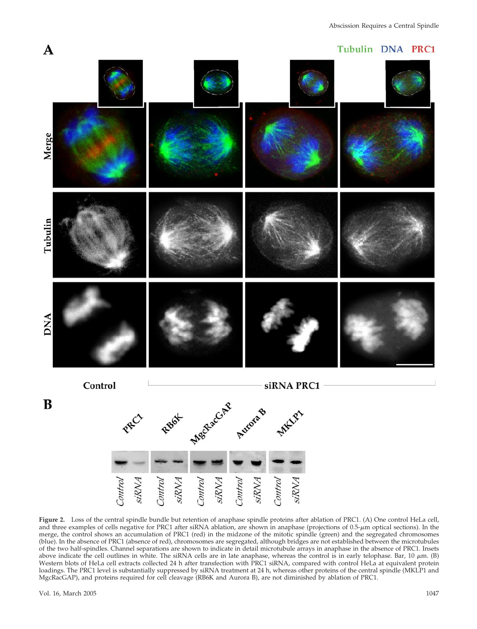#### Tubulin DNA PRC1



**Figure 2.** Loss of the central spindle bundle but retention of anaphase spindle proteins after ablation of PRC1. (A) One control HeLa cell, and three examples of cells negative for PRC1 after siRNA ablation, are shown in anaphase (projections of 0.5-µm optical sections). In the merge, the control shows an accumulation of PRC1 (red) in the midzone of the mitotic spindle (green) and the segregated chromosomes (blue). In the absence of PRC1 (absence of red), chromosomes are segregated, although bridges are not established between the microtubules of the two half-spindles. Channel separations are shown to indicate in detail microtubule arrays in anaphase in the absence of PRC1. Insets above indicate the cell outlines in white. The siRNA cells are in late anaphase, whereas the control is in early telophase. Bar, 10  $\mu$ m. (B) Western blots of HeLa cell extracts collected 24 h after transfection with PRC1 siRNA, compared with control HeLa at equivalent protein loadings. The PRC1 level is substantially suppressed by siRNA treatment at 24 h, whereas other proteins of the central spindle (MKLP1 and MgcRacGAP), and proteins required for cell cleavage (RB6K and Aurora B), are not diminished by ablation of PRC1.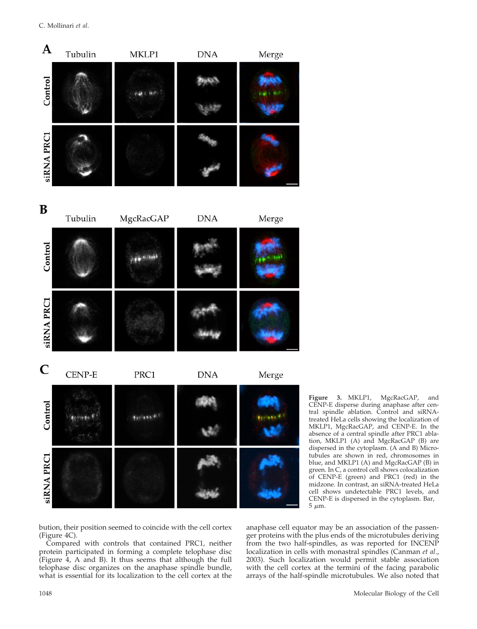C. Mollinari *et al*.



**Figure 3.** MKLP1, MgcRacGAP, and CENP-E disperse during anaphase after central spindle ablation. Control and siRNAtreated HeLa cells showing the localization of MKLP1, MgcRacGAP, and CENP-E. In the absence of a central spindle after PRC1 ablation, MKLP1 (A) and MgcRacGAP (B) are dispersed in the cytoplasm. (A and B) Microtubules are shown in red, chromosomes in blue, and MKLP1 (A) and MgcRacGAP (B) in green. In C, a control cell shows colocalization of CENP-E (green) and PRC1 (red) in the midzone. In contrast, an siRNA-treated HeLa cell shows undetectable PRC1 levels, and CENP-E is dispersed in the cytoplasm. Bar,  $5~\mu{\rm m}.$ 

bution, their position seemed to coincide with the cell cortex (Figure 4C).

Compared with controls that contained PRC1, neither protein participated in forming a complete telophase disc (Figure 4, A and B). It thus seems that although the full telophase disc organizes on the anaphase spindle bundle, what is essential for its localization to the cell cortex at the

anaphase cell equator may be an association of the passenger proteins with the plus ends of the microtubules deriving from the two half-spindles, as was reported for INCENP localization in cells with monastral spindles (Canman *et al*., 2003). Such localization would permit stable association with the cell cortex at the termini of the facing parabolic arrays of the half-spindle microtubules. We also noted that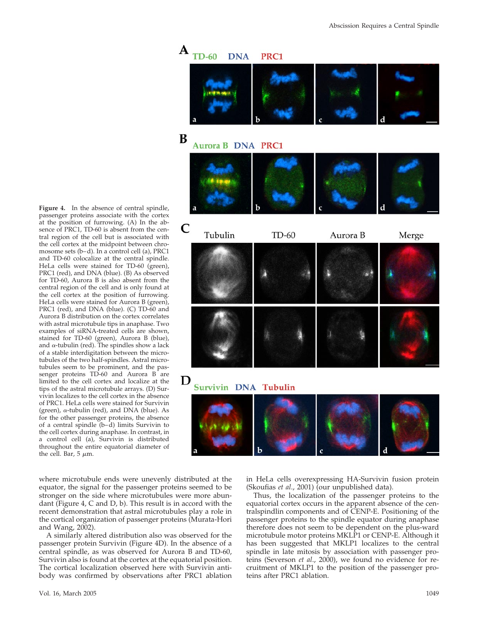

passenger proteins associate with the cortex at the position of furrowing. (A) In the absence of PRC1, TD-60 is absent from the central region of the cell but is associated with the cell cortex at the midpoint between chromosome sets (b–d). In a control cell (a), PRC1 and TD-60 colocalize at the central spindle. HeLa cells were stained for TD-60 (green), PRC1 (red), and DNA (blue). (B) As observed for TD-60, Aurora B is also absent from the central region of the cell and is only found at the cell cortex at the position of furrowing. HeLa cells were stained for Aurora B (green), PRC1 (red), and DNA (blue). (C) TD-60 and Aurora B distribution on the cortex correlates with astral microtubule tips in anaphase. Two examples of siRNA-treated cells are shown, stained for TD-60 (green), Aurora B (blue), and  $\alpha$ -tubulin (red). The spindles show a lack of a stable interdigitation between the microtubules of the two half-spindles. Astral microtubules seem to be prominent, and the passenger proteins TD-60 and Aurora B are limited to the cell cortex and localize at the tips of the astral microtubule arrays. (D) Survivin localizes to the cell cortex in the absence of PRC1. HeLa cells were stained for Survivin (green),  $\alpha$ -tubulin (red), and DNA (blue). As for the other passenger proteins, the absence of a central spindle (b–d) limits Survivin to the cell cortex during anaphase. In contrast, in a control cell (a), Survivin is distributed throughout the entire equatorial diameter of the cell. Bar, 5  $\mu$ m.

**Figure 4.** In the absence of central spindle,

where microtubule ends were unevenly distributed at the equator, the signal for the passenger proteins seemed to be stronger on the side where microtubules were more abundant (Figure 4, C and D, b). This result is in accord with the recent demonstration that astral microtubules play a role in the cortical organization of passenger proteins (Murata-Hori and Wang, 2002).

A similarly altered distribution also was observed for the passenger protein Survivin (Figure 4D). In the absence of a central spindle, as was observed for Aurora B and TD-60, Survivin also is found at the cortex at the equatorial position. The cortical localization observed here with Survivin antibody was confirmed by observations after PRC1 ablation

Vol. 16, March 2005 1049

in HeLa cells overexpressing HA-Survivin fusion protein (Skoufias *et al*., 2001) (our unpublished data).

Thus, the localization of the passenger proteins to the equatorial cortex occurs in the apparent absence of the centralspindlin components and of CENP-E. Positioning of the passenger proteins to the spindle equator during anaphase therefore does not seem to be dependent on the plus-ward microtubule motor proteins MKLP1 or CENP-E. Although it has been suggested that MKLP1 localizes to the central spindle in late mitosis by association with passenger proteins (Severson *et al*., 2000), we found no evidence for recruitment of MKLP1 to the position of the passenger proteins after PRC1 ablation.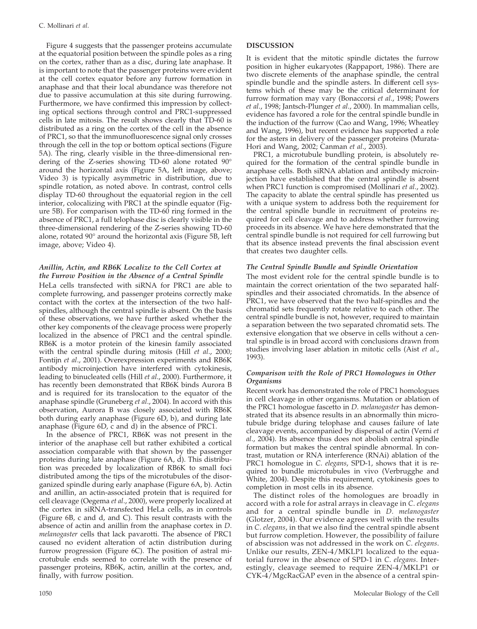Figure 4 suggests that the passenger proteins accumulate at the equatorial position between the spindle poles as a ring on the cortex, rather than as a disc, during late anaphase. It is important to note that the passenger proteins were evident at the cell cortex equator before any furrow formation in anaphase and that their local abundance was therefore not due to passive accumulation at this site during furrowing. Furthermore, we have confirmed this impression by collecting optical sections through control and PRC1-suppressed cells in late mitosis. The result shows clearly that TD-60 is distributed as a ring on the cortex of the cell in the absence of PRC1, so that the immunofluorescence signal only crosses through the cell in the top or bottom optical sections (Figure 5A). The ring, clearly visible in the three-dimensional rendering of the Z-series showing TD-60 alone rotated 90° around the horizontal axis (Figure 5A, left image, above; Video 3) is typically asymmetric in distribution, due to spindle rotation, as noted above. In contrast, control cells display TD-60 throughout the equatorial region in the cell interior, colocalizing with PRC1 at the spindle equator (Figure 5B). For comparison with the TD-60 ring formed in the absence of PRC1, a full telophase disc is clearly visible in the three-dimensional rendering of the Z-series showing TD-60 alone, rotated 90° around the horizontal axis (Figure 5B, left image, above; Video 4).

#### *Anillin, Actin, and RB6K Localize to the Cell Cortex at the Furrow Position in the Absence of a Central Spindle*

HeLa cells transfected with siRNA for PRC1 are able to complete furrowing, and passenger proteins correctly make contact with the cortex at the intersection of the two halfspindles, although the central spindle is absent. On the basis of these observations, we have further asked whether the other key components of the cleavage process were properly localized in the absence of PRC1 and the central spindle. RB6K is a motor protein of the kinesin family associated with the central spindle during mitosis (Hill *et al*., 2000; Fontijn *et al*., 2001). Overexpression experiments and RB6K antibody microinjection have interfered with cytokinesis, leading to binucleated cells (Hill *et al*., 2000). Furthermore, it has recently been demonstrated that RB6K binds Aurora B and is required for its translocation to the equator of the anaphase spindle (Gruneberg *et al*., 2004). In accord with this observation, Aurora B was closely associated with RB6K both during early anaphase (Figure 6D, b), and during late anaphase (Figure 6D, c and d) in the absence of PRC1.

In the absence of PRC1, RB6K was not present in the interior of the anaphase cell but rather exhibited a cortical association comparable with that shown by the passenger proteins during late anaphase (Figure 6A, d). This distribution was preceded by localization of RB6K to small foci distributed among the tips of the microtubules of the disorganized spindle during early anaphase (Figure 6A, b). Actin and anillin, an actin-associated protein that is required for cell cleavage (Oegema *et al*., 2000), were properly localized at the cortex in siRNA-transfected HeLa cells, as in controls (Figure 6B, c and d, and C). This result contrasts with the absence of actin and anillin from the anaphase cortex in *D*. *melanogaster* cells that lack pavarotti. The absence of PRC1 caused no evident alteration of actin distribution during furrow progression (Figure 6C). The position of astral microtubule ends seemed to correlate with the presence of passenger proteins, RB6K, actin, anillin at the cortex, and, finally, with furrow position.

#### **DISCUSSION**

It is evident that the mitotic spindle dictates the furrow position in higher eukaryotes (Rappaport, 1986). There are two discrete elements of the anaphase spindle, the central spindle bundle and the spindle asters. In different cell systems which of these may be the critical determinant for furrow formation may vary (Bonaccorsi *et al*., 1998; Powers *et al*., 1998; Jantsch-Plunger *et al*., 2000). In mammalian cells, evidence has favored a role for the central spindle bundle in the induction of the furrow (Cao and Wang, 1996; Wheatley and Wang, 1996), but recent evidence has supported a role for the asters in delivery of the passenger proteins (Murata-Hori and Wang, 2002; Canman *et al*., 2003).

PRC1, a microtubule bundling protein, is absolutely required for the formation of the central spindle bundle in anaphase cells. Both siRNA ablation and antibody microinjection have established that the central spindle is absent when PRC1 function is compromised (Mollinari *et al*., 2002). The capacity to ablate the central spindle has presented us with a unique system to address both the requirement for the central spindle bundle in recruitment of proteins required for cell cleavage and to address whether furrowing proceeds in its absence. We have here demonstrated that the central spindle bundle is not required for cell furrowing but that its absence instead prevents the final abscission event that creates two daughter cells.

#### *The Central Spindle Bundle and Spindle Orientation*

The most evident role for the central spindle bundle is to maintain the correct orientation of the two separated halfspindles and their associated chromatids. In the absence of PRC1, we have observed that the two half-spindles and the chromatid sets frequently rotate relative to each other. The central spindle bundle is not, however, required to maintain a separation between the two separated chromatid sets. The extensive elongation that we observe in cells without a central spindle is in broad accord with conclusions drawn from studies involving laser ablation in mitotic cells (Aist *et al*., 1993).

#### *Comparison with the Role of PRC1 Homologues in Other Organisms*

Recent work has demonstrated the role of PRC1 homologues in cell cleavage in other organisms. Mutation or ablation of the PRC1 homologue fascetto in *D*. *melanogaster* has demonstrated that its absence results in an abnormally thin microtubule bridge during telophase and causes failure of late cleavage events, accompanied by dispersal of actin (Verni *et al*., 2004). Its absence thus does not abolish central spindle formation but makes the central spindle abnormal. In contrast, mutation or RNA interference (RNAi) ablation of the PRC1 homologue in *C*. *elegans*, SPD-1, shows that it is required to bundle microtubules in vivo (Verbrugghe and White, 2004). Despite this requirement, cytokinesis goes to completion in most cells in its absence.

The distinct roles of the homologues are broadly in accord with a role for astral arrays in cleavage in *C*. *elegans* and for a central spindle bundle in *D*. *melanogaster* (Glotzer, 2004). Our evidence agrees well with the results in *C*. *elegans*, in that we also find the central spindle absent but furrow completion. However, the possibility of failure of abscission was not addressed in the work on *C*. *elegans*. Unlike our results, ZEN-4/MKLP1 localized to the equatorial furrow in the absence of SPD-1 in *C*. *elegans*. Interestingly, cleavage seemed to require ZEN-4/MKLP1 or CYK-4/MgcRacGAP even in the absence of a central spin-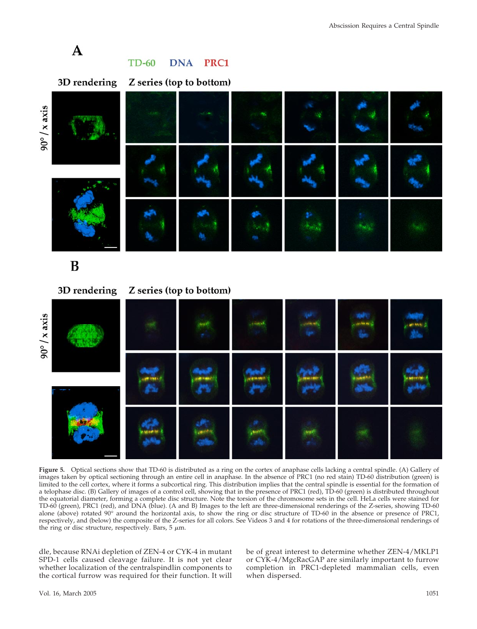

## B

3D rendering

Z series (top to bottom)



**Figure 5.** Optical sections show that TD-60 is distributed as a ring on the cortex of anaphase cells lacking a central spindle. (A) Gallery of images taken by optical sectioning through an entire cell in anaphase. In the absence of PRC1 (no red stain) TD-60 distribution (green) is limited to the cell cortex, where it forms a subcortical ring. This distribution implies that the central spindle is essential for the formation of a telophase disc. (B) Gallery of images of a control cell, showing that in the presence of PRC1 (red), TD-60 (green) is distributed throughout the equatorial diameter, forming a complete disc structure. Note the torsion of the chromosome sets in the cell. HeLa cells were stained for TD-60 (green), PRC1 (red), and DNA (blue). (A and B) Images to the left are three-dimensional renderings of the Z-series, showing TD-60 alone (above) rotated 90° around the horizontal axis, to show the ring or disc structure of TD-60 in the absence or presence of PRC1, respectively, and (below) the composite of the Z-series for all colors. See Videos 3 and 4 for rotations of the three-dimensional renderings of the ring or disc structure, respectively. Bars,  $5 \mu m$ .

dle, because RNAi depletion of ZEN-4 or CYK-4 in mutant SPD-1 cells caused cleavage failure. It is not yet clear whether localization of the centralspindlin components to the cortical furrow was required for their function. It will

be of great interest to determine whether ZEN-4/MKLP1 or CYK-4/MgcRacGAP are similarly important to furrow completion in PRC1-depleted mammalian cells, even when dispersed.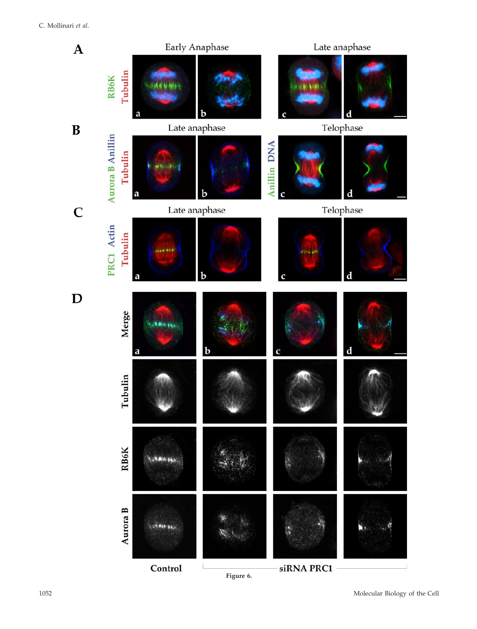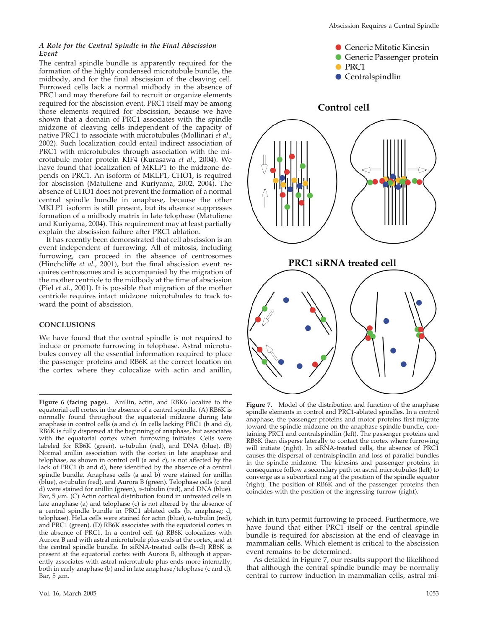#### *A Role for the Central Spindle in the Final Abscission Event*

The central spindle bundle is apparently required for the formation of the highly condensed microtubule bundle, the midbody, and for the final abscission of the cleaving cell. Furrowed cells lack a normal midbody in the absence of PRC1 and may therefore fail to recruit or organize elements required for the abscission event. PRC1 itself may be among those elements required for abscission, because we have shown that a domain of PRC1 associates with the spindle midzone of cleaving cells independent of the capacity of native PRC1 to associate with microtubules (Mollinari *et al*., 2002). Such localization could entail indirect association of PRC1 with microtubules through association with the microtubule motor protein KIF4 (Kurasawa *et al*., 2004). We have found that localization of MKLP1 to the midzone depends on PRC1. An isoform of MKLP1, CHO1, is required for abscission (Matuliene and Kuriyama, 2002, 2004). The absence of CHO1 does not prevent the formation of a normal central spindle bundle in anaphase, because the other MKLP1 isoform is still present, but its absence suppresses formation of a midbody matrix in late telophase (Matuliene and Kuriyama, 2004). This requirement may at least partially explain the abscission failure after PRC1 ablation.

It has recently been demonstrated that cell abscission is an event independent of furrowing. All of mitosis, including furrowing, can proceed in the absence of centrosomes (Hinchcliffe *et al*., 2001), but the final abscission event requires centrosomes and is accompanied by the migration of the mother centriole to the midbody at the time of abscission (Piel *et al*., 2001). It is possible that migration of the mother centriole requires intact midzone microtubules to track toward the point of abscission.

#### **CONCLUSIONS**

We have found that the central spindle is not required to induce or promote furrowing in telophase. Astral microtubules convey all the essential information required to place the passenger proteins and RB6K at the correct location on the cortex where they colocalize with actin and anillin,

**Figure 6 (facing page).** Anillin, actin, and RBK6 localize to the equatorial cell cortex in the absence of a central spindle. (A) RB6K is normally found throughout the equatorial midzone during late anaphase in control cells (a and c). In cells lacking PRC1 (b and d), RB6K is fully dispersed at the beginning of anaphase, but associates with the equatorial cortex when furrowing initiates. Cells were labeled for  $RB6K$  (green),  $\alpha$ -tubulin (red), and DNA (blue). (B) Normal anillin association with the cortex in late anaphase and telophase, as shown in control cell (a and c), is not affected by the lack of PRC1 (b and d), here identified by the absence of a central spindle bundle. Anaphase cells (a and b) were stained for anillin  $(\text{blue})$ ,  $\alpha$ -tubulin (red), and Aurora B (green). Telophase cells (c and d) were stained for anillin (green),  $\alpha$ -tubulin (red), and DNA (blue). Bar, 5  $\mu$ m. (C) Actin cortical distribution found in untreated cells in late anaphase (a) and telophase (c) is not altered by the absence of a central spindle bundle in PRC1 ablated cells (b, anaphase; d, telophase). HeLa cells were stained for actin (blue),  $\alpha$ -tubulin (red), and PRC1 (green). (D) RB6K associates with the equatorial cortex in the absence of PRC1. In a control cell (a) RB6K colocalizes with Aurora B and with astral microtubule plus ends at the cortex, and at the central spindle bundle. In siRNA-treated cells (b–d) RB6K is present at the equatorial cortex with Aurora B, although it apparently associates with astral microtubule plus ends more internally, both in early anaphase (b) and in late anaphase/telophase (c and d). Bar, 5  $\mu$ m.



**Figure 7.** Model of the distribution and function of the anaphase spindle elements in control and PRC1-ablated spindles. In a control anaphase, the passenger proteins and motor proteins first migrate toward the spindle midzone on the anaphase spindle bundle, containing PRC1 and centralspindlin (left). The passenger proteins and RB6K then disperse laterally to contact the cortex where furrowing will initiate (right). In siRNA-treated cells, the absence of PRC1 causes the dispersal of centralspindlin and loss of parallel bundles in the spindle midzone. The kinesins and passenger proteins in consequence follow a secondary path on astral microtubules (left) to converge as a subcortical ring at the position of the spindle equator (right). The position of RB6K and of the passenger proteins then coincides with the position of the ingressing furrow (right).

which in turn permit furrowing to proceed. Furthermore, we have found that either PRC1 itself or the central spindle bundle is required for abscission at the end of cleavage in mammalian cells. Which element is critical to the abscission event remains to be determined.

As detailed in Figure 7, our results support the likelihood that although the central spindle bundle may be normally central to furrow induction in mammalian cells, astral mi-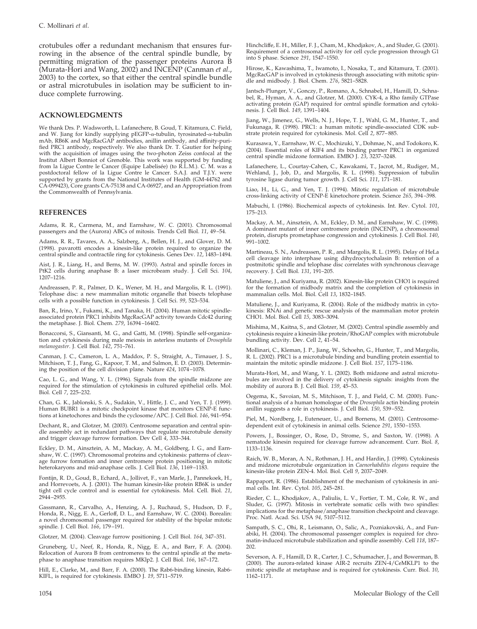crotubules offer a redundant mechanism that ensures furrowing in the absence of the central spindle bundle, by permitting migration of the passenger proteins Aurora B (Murata-Hori and Wang, 2002) and INCENP (Canman *et al*., 2003) to the cortex, so that either the central spindle bundle or astral microtubules in isolation may be sufficient to induce complete furrowing.

#### **ACKNOWLEDGMENTS**

We thank Drs. P. Wadsworth, L. Lafanechere, B. Goud, T. Kitamura, C. Field, and W. Jiang for kindly supplying pEGFP- $\alpha$ -tubulin, tyrosinated- $\alpha$ -tubulin mAb, RB6K and MgcRacGAP antibodies, anillin antibody, and affinity-purified PRC1 antibody, respectively. We also thank Dr. T. Gautier for helping with the acquisition of images using the two-photon Zeiss confocal at the Institut Albert Bonniot of Grenoble. This work was supported by funding from la Ligue Contre le Cancer (Equipe Labelisée) (to R.L.M.). C. M. was a postdoctoral fellow of la Ligue Contre le Cancer. S.A.J. and T.J.Y. were supported by grants from the National Institutes of Health (GM-44762 and CA-099423), Core grants CA-75138 and CA-06927, and an Appropriation from the Commonwealth of Pennsylvania.

#### **REFERENCES**

Adams, R. R., Carmena, M., and Earnshaw, W. C. (2001). Chromosomal passengers and the (Aurora) ABCs of mitosis. Trends Cell Biol. *11*, 49–54.

Adams, R. R., Tavares, A. A., Salzberg, A., Bellen, H. J., and Glover, D. M. (1998). pavarotti encodes a kinesin-like protein required to organize the central spindle and contractile ring for cytokinesis. Genes Dev. *12*, 1483–1494.

Aist, J. R., Liang, H., and Berns, M. W. (1993). Astral and spindle forces in PtK2 cells during anaphase B: a laser microbeam study. J. Cell Sci. 104, 1207–1216.

Andreassen, P. R., Palmer, D. K., Wener, M. H., and Margolis, R. L. (1991). Telophase disc: a new mammalian mitotic organelle that bisects telophase cells with a possible function in cytokinesis. J. Cell Sci. *99*, 523–534.

Ban, R., Irino, Y., Fukami, K., and Tanaka, H. (2004). Human mitotic spindleassociated protein PRC1 inhibits MgcRacGAP activity towards Cdc42 during the metaphase. J. Biol. Chem. *279*, 16394–16402.

Bonaccorsi, S., Giansanti, M. G., and Gatti, M. (1998). Spindle self-organization and cytokinesis during male meiosis in asterless mutants of *Drosophila melanogaster*. J. Cell Biol. *142*, 751–761.

Canman, J. C., Cameron, L. A., Maddox, P. S., Straight, A., Tirnauer, J. S., Mitchison, T. J., Fang, G., Kapoor, T. M., and Salmon, E. D. (2003). Determining the position of the cell division plane. Nature *424*, 1074–1078.

Cao, L. G., and Wang, Y. L. (1996). Signals from the spindle midzone are required for the stimulation of cytokinesis in cultured epithelial cells. Mol. Biol. Cell *7*, 225–232.

Chan, G. K., Jablonski, S. A., Sudakin, V., Hittle, J. C., and Yen, T. J. (1999). Human BUBR1 is a mitotic checkpoint kinase that monitors CENP-E functions at kinetochores and binds the cyclosome/APC. J. Cell Biol. *146*, 941–954.

Dechant, R., and Glotzer, M. (2003). Centrosome separation and central spindle assembly act in redundant pathways that regulate microtubule density and trigger cleavage furrow formation. Dev Cell *4*, 333–344.

Eckley, D. M., Ainsztein, A. M., Mackay, A. M., Goldberg, I. G., and Earnshaw, W. C. (1997). Chromosomal proteins and cytokinesis: patterns of cleavage furrow formation and inner centromere protein positioning in mitotic heterokaryons and mid-anaphase cells. J. Cell Biol. *136*, 1169–1183.

Fontijn, R. D., Goud, B., Echard, A., Jollivet, F., van Marle, J., Pannekoek, H., and Horrevoets, A. J. (2001). The human kinesin-like protein RB6K is under tight cell cycle control and is essential for cytokinesis. Mol. Cell. Biol. *21*, 2944–2955.

Gassmann, R., Carvalho, A., Henzing, A. J., Ruchaud, S., Hudson, D. F., Honda, R., Nigg, E. A., Gerloff, D. L., and Earnshaw, W. C. (2004). Borealin: a novel chromosomal passenger required for stability of the bipolar mitotic spindle. J. Cell Biol. *166*, 179–191.

Glotzer, M. (2004). Cleavage furrow positioning. J. Cell Biol. *164*, 347–351.

Gruneberg, U., Neef, R., Honda, R., Nigg, E. A., and Barr, F. A. (2004). Relocation of Aurora B from centromeres to the central spindle at the metaphase to anaphase transition requires MKlp2. J. Cell Biol. *166*, 167–172.

Hill, E., Clarke, M., and Barr, F. A. (2000). The Rab6-binding kinesin, Rab6- KIFL, is required for cytokinesis. EMBO J. *19*, 5711–5719.

Hinchcliffe, E. H., Miller, F. J., Cham, M., Khodjakov, A., and Sluder, G. (2001). Requirement of a centrosomal activity for cell cycle progression through G1 into S phase. Science *291*, 1547–1550.

Hirose, K., Kawashima, T., Iwamoto, I., Nosaka, T., and Kitamura, T. (2001). MgcRacGAP is involved in cytokinesis through associating with mitotic spindle and midbody. J. Biol. Chem. *276*, 5821–5828.

Jantsch-Plunger, V., Gonczy, P., Romano, A., Schnabel, H., Hamill, D., Schnabel, R., Hyman, A. A., and Glotzer, M. (2000). CYK-4, a Rho family GTPase activating protein (GAP) required for central spindle formation and cytoki-nesis. J. Cell Biol. *149*, 1391–1404.

Jiang, W., Jimenez, G., Wells, N. J., Hope, T. J., Wahl, G. M., Hunter, T., and Fukunaga, R. (1998). PRC1: a human mitotic spindle-associated CDK substrate protein required for cytokinesis. Mol. Cell *2*, 877–885.

Kurasawa, Y., Earnshaw, W. C., Mochizuki, Y., Dohmae, N., and Todokoro, K. (2004). Essential roles of KIF4 and its binding partner PRC1 in organized central spindle midzone formation. EMBO J. *23*, 3237–3248.

Lafanechere, L., Courtay-Cahen, C., Kawakami, T., Jacrot, M., Rudiger, M., Wehland, J., Job, D., and Margolis, R. L. (1998). Suppression of tubulin tyrosine ligase during tumor growth. J. Cell Sci. *111*, 171–181.

Liao, H., Li, G., and Yen, T. J. (1994). Mitotic regulation of microtubule cross-linking activity of CENP-E kinetochore protein. Science *265*, 394–398.

Mabuchi, I. (1986). Biochemical aspects of cytokinesis. Int. Rev. Cytol. *101*, 175–213.

Mackay, A. M., Ainsztein, A. M., Eckley, D. M., and Earnshaw, W. C. (1998). A dominant mutant of inner centromere protein (INCENP), a chromosomal protein, disrupts prometaphase congression and cytokinesis. J. Cell Biol. *140*, 991–1002.

Martineau, S. N., Andreassen, P. R., and Margolis, R. L. (1995). Delay of HeLa cell cleavage into interphase using dihydrocytochalasin B: retention of a postmitotic spindle and telophase disc correlates with synchronous cleavage recovery. J. Cell Biol. *131*, 191–205.

Matuliene, J., and Kuriyama, R. (2002). Kinesin-like protein CHO1 is required for the formation of midbody matrix and the completion of cytokinesis in mammalian cells. Mol. Biol. Cell *13*, 1832–1845.

Matuliene, J., and Kuriyama, R. (2004). Role of the midbody matrix in cytokinesis: RNAi and genetic rescue analysis of the mammalian motor protein CHO1. Mol. Biol. Cell *15*, 3083–3094.

Mishima, M., Kaitna, S., and Glotzer, M. (2002). Central spindle assembly and cytokinesis require a kinesin-like protein/RhoGAP complex with microtubule bundling activity. Dev. Cell *2*, 41–54.

Mollinari, C., Kleman, J. P., Jiang, W., Schoehn, G., Hunter, T., and Margolis, R. L. (2002). PRC1 is a microtubule binding and bundling protein essential to maintain the mitotic spindle midzone. J. Cell Biol. *157*, 1175–1186.

Murata-Hori, M., and Wang, Y. L. (2002). Both midzone and astral microtubules are involved in the delivery of cytokinesis signals: insights from the mobility of aurora B. J. Cell Biol. *159*, 45–53.

Oegema, K., Savoian, M. S., Mitchison, T. J., and Field, C. M. (2000). Functional analysis of a human homologue of the *Drosophila* actin binding protein anillin suggests a role in cytokinesis. J. Cell Biol. *150*, 539–552.

Piel, M., Nordberg, J., Euteneuer, U., and Bornens, M. (2001). Centrosomedependent exit of cytokinesis in animal cells. Science *291*, 1550–1553.

Powers, J., Bossinger, O., Rose, D., Strome, S., and Saxton, W. (1998). A nematode kinesin required for cleavage furrow advancement. Curr. Biol. *8*, 1133–1136.

Raich, W. B., Moran, A. N., Rothman, J. H., and Hardin, J. (1998). Cytokinesis and midzone microtubule organization in *Caenorhabditis elegans* require the kinesin-like protein ZEN-4. Mol. Biol. Cell *9*, 2037–2049.

Rappaport, R. (1986). Establishment of the mechanism of cytokinesis in animal cells. Int. Rev. Cytol. *105*, 245–281.

Rieder, C. L., Khodjakov, A., Paliulis, L. V., Fortier, T. M., Cole, R. W., and Sluder, G. (1997). Mitosis in vertebrate somatic cells with two spindles: implications for the metaphase/anaphase transition checkpoint and cleavage. Proc. Natl. Acad. Sci. USA *94*, 5107–5112.

Sampath, S. C., Ohi, R., Leismann, O., Salic, A., Pozniakovski, A., and Funabiki, H. (2004). The chromosomal passenger complex is required for chromatin-induced microtubule stabilization and spindle assembly. Cell *118*, 187– 202.

Severson, A. F., Hamill, D. R., Carter, J. C., Schumacher, J., and Bowerman, B. (2000). The aurora-related kinase AIR-2 recruits ZEN-4/CeMKLP1 to the mitotic spindle at metaphase and is required for cytokinesis. Curr. Biol. *10*, 1162–1171.